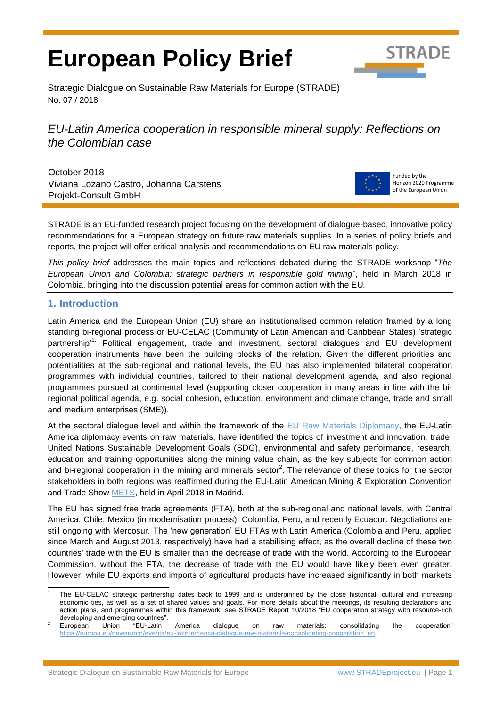# **European Policy Brief**



Strategic Dialogue on Sustainable Raw Materials for Europe (STRADE) No. 07 / 2018

*EU-Latin America cooperation in responsible mineral supply: Reflections on the Colombian case*

October 2018 Viviana Lozano Castro, Johanna Carstens Projekt-Consult GmbH



Funded by the Horizon 2020 Programme of the European Union

STRADE is an EU-funded research project focusing on the development of dialogue-based, innovative policy recommendations for a European strategy on future raw materials supplies. In a series of policy briefs and reports, the project will offer critical analysis and recommendations on EU raw materials policy.

*This policy brief* addresses the main topics and reflections debated during the STRADE workshop "*The European Union and Colombia: strategic partners in responsible gold mining*", held in March 2018 in Colombia, bringing into the discussion potential areas for common action with the EU*.*

### **1. Introduction**

Latin America and the European Union (EU) share an institutionalised common relation framed by a long standing bi-regional process or EU-CELAC (Community of Latin American and Caribbean States) 'strategic partnership<sup>11.</sup> Political engagement, trade and investment, sectoral dialogues and EU development cooperation instruments have been the building blocks of the relation. Given the different priorities and potentialities at the sub-regional and national levels, the EU has also implemented bilateral cooperation programmes with individual countries, tailored to their national development agenda, and also regional programmes pursued at continental level (supporting closer cooperation in many areas in line with the biregional political agenda, e.g. social cohesion, education, environment and climate change, trade and small and medium enterprises (SME)).

At the sectoral dialogue level and within the framework of the [EU Raw Materials Diplomacy,](https://ec.europa.eu/growth/sectors/raw-materials/specific-interest/international-aspects_en) the EU-Latin America diplomacy events on raw materials, have identified the topics of investment and innovation, trade, United Nations Sustainable Development Goals (SDG), environmental and safety performance, research, education and training opportunities along the mining value chain, as the key subjects for common action and bi-regional cooperation in the mining and minerals sector<sup>2</sup>. The relevance of these topics for the sector stakeholders in both regions was reaffirmed during the EU-Latin American Mining & Exploration Convention and Trade Show [METS,](http://www.mets2018.eu/en/) held in April 2018 in Madrid.

The EU has signed free trade agreements (FTA), both at the sub-regional and national levels, with Central America, Chile, Mexico (in modernisation process), Colombia, Peru, and recently Ecuador. Negotiations are still ongoing with Mercosur. The 'new generation' EU FTAs with Latin America (Colombia and Peru, applied since March and August 2013, respectively) have had a stabilising effect, as the overall decline of these two countries' trade with the EU is smaller than the decrease of trade with the world. According to the European Commission, without the FTA, the decrease of trade with the EU would have likely been even greater. However, while EU exports and imports of agricultural products have increased significantly in both markets

l 1 The EU-CELAC strategic partnership dates back to 1999 and is underpinned by the close historical, cultural and increasing economic ties, as well as a set of shared values and goals. For more details about the meetings, its resulting declarations and action plans, and programmes within this framework, see STRADE Report 10/2018 "EU cooperation strategy with resource-rich developing and emerging countries".

 $2$  European Union "EU-Latin America dialogue on raw materials: consolidating the cooperation' [https://europa.eu/newsroom/events/eu-latin-america-dialogue-raw-materials-consolidating-cooperation\\_en](https://europa.eu/newsroom/events/eu-latin-america-dialogue-raw-materials-consolidating-cooperation_en)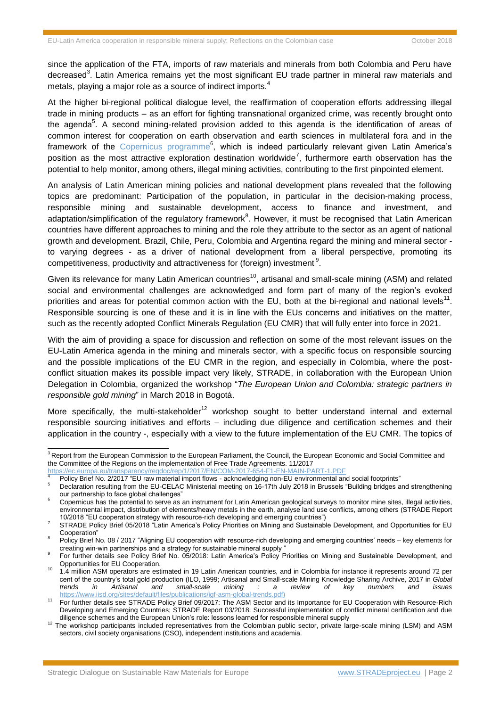since the application of the FTA, imports of raw materials and minerals from both Colombia and Peru have decreased<sup>3</sup>. Latin America remains yet the most significant EU trade partner in mineral raw materials and metals, playing a major role as a source of indirect imports.<sup>4</sup>

At the higher bi-regional political dialogue level, the reaffirmation of cooperation efforts addressing illegal trade in mining products – as an effort for fighting transnational organized crime, was recently brought onto the agenda<sup>5</sup>. A second mining-related provision added to this agenda is the identification of areas of common interest for cooperation on earth observation and earth sciences in multilateral fora and in the framework of the [Copernicus programme](http://www.copernicus.eu/)<sup>6</sup>, which is indeed particularly relevant given Latin America's position as the most attractive exploration destination worldwide<sup>7</sup>, furthermore earth observation has the potential to help monitor, among others, illegal mining activities, contributing to the first pinpointed element.

An analysis of Latin American mining policies and national development plans revealed that the following topics are predominant: Participation of the population, in particular in the decision-making process, responsible mining and sustainable development, access to finance and investment, and adaptation/simplification of the regulatory framework<sup>8</sup>. However, it must be recognised that Latin American countries have different approaches to mining and the role they attribute to the sector as an agent of national growth and development. Brazil, Chile, Peru, Colombia and Argentina regard the mining and mineral sector to varying degrees - as a driver of national development from a liberal perspective, promoting its competitiveness, productivity and attractiveness for (foreign) investment <sup>9</sup>.

Given its relevance for many Latin American countries<sup>10</sup>, artisanal and small-scale mining (ASM) and related social and environmental challenges are acknowledged and form part of many of the region's evoked priorities and areas for potential common action with the EU, both at the bi-regional and national levels<sup>11</sup>. Responsible sourcing is one of these and it is in line with the EUs concerns and initiatives on the matter, such as the recently adopted Conflict Minerals Regulation (EU CMR) that will fully enter into force in 2021.

With the aim of providing a space for discussion and reflection on some of the most relevant issues on the EU-Latin America agenda in the mining and minerals sector, with a specific focus on responsible sourcing and the possible implications of the EU CMR in the region, and especially in Colombia, where the postconflict situation makes its possible impact very likely, STRADE, in collaboration with the European Union Delegation in Colombia, organized the workshop "*The European Union and Colombia: strategic partners in responsible gold mining*" in March 2018 in Bogotá.

More specifically, the multi-stakeholder<sup>12</sup> workshop sought to better understand internal and external responsible sourcing initiatives and efforts – including due diligence and certification schemes and their application in the country -, especially with a view to the future implementation of the EU CMR. The topics of

<sup>&</sup>lt;sup>3</sup> Report from the European Commission to the European Parliament, the Council, the European Economic and Social Committee and the Committee of the Regions on the implementation of Free Trade Agreements. 11/2017

<https://ec.europa.eu/transparency/regdoc/rep/1/2017/EN/COM-2017-654-F1-EN-MAIN-PART-1.PDF>

<sup>&</sup>lt;sup>4</sup> Policy Brief No. 2/2017 "EU raw material import flows - acknowledging non-EU environmental and social footprints"

<sup>5</sup> Declaration resulting from the EU-CELAC Ministerial meeting on 16-17th July 2018 in Brussels "Building bridges and strengthening our partnership to face global challenges'

<sup>6</sup> Copernicus has the potential to serve as an instrument for Latin American geological surveys to monitor mine sites, illegal activities, environmental impact, distribution of elements/heavy metals in the earth, analyse land use conflicts, among others (STRADE Report 10/2018 "EU cooperation strategy with resource-rich developing and emerging countries")

<sup>7</sup> STRADE Policy Brief 05/2018 ["Latin America's Policy Priorities on Mining and Sustainable Development, and Opportunities for EU](http://stradeproject.eu/fileadmin/user_upload/pdf/STRADE_PB_LATAM_policy.pdf)  [Cooperation"](http://stradeproject.eu/fileadmin/user_upload/pdf/STRADE_PB_LATAM_policy.pdf)

<sup>8</sup> Policy Brief No. 08 / 2017 "Aligning EU cooperation with resource-rich developing and emerging countries' needs – key elements for creating win-win partnerships and a strategy for sustainable mineral supply "

<sup>9</sup> For further details see Policy Brief No. 05/2018: [Latin America's Policy Priorities on Mining and Sustainable Development, and](http://stradeproject.eu/fileadmin/user_upload/pdf/STRADE_PB_LATAM_policy.pdf)  [Opportunities for EU Cooperation.](http://stradeproject.eu/fileadmin/user_upload/pdf/STRADE_PB_LATAM_policy.pdf)

<sup>10</sup> 1.4 million ASM operators are estimated in 19 Latin American countries, and in Colombia for instance it represents around 72 per cent of the country's total gold production (ILO, 1999; Artisanal and Small-scale Mining Knowledge Sharing Archive, 2017 in *Global trends in Artisanal and small-scale mining : a review of key numbers and issues* [https://www.iisd.org/sites/default/files/publications/igf-asm-global-trends.pdf\)](https://www.iisd.org/sites/default/files/publications/igf-asm-global-trends.pdf)

<sup>11</sup> For further details see STRADE Policy Brief 09/2017: [The ASM Sector and its Importance for EU Cooperation with Resource-Rich](http://stradeproject.eu/fileadmin/user_upload/pdf/STRADE_PB09-2017_ASM_and_EU-cooperation.pdf)  [Developing and Emerging Countries;](http://stradeproject.eu/fileadmin/user_upload/pdf/STRADE_PB09-2017_ASM_and_EU-cooperation.pdf) STRADE Report 03/2018: [Successful implementation of conflict mineral certification and due](http://stradeproject.eu/fileadmin/user_upload/pdf/STRADE_Report_D4.19_Due_Diligence_Certification.pdf)  [diligence schemes and the European Union's role: lessons learned for responsible mineral supply](http://stradeproject.eu/fileadmin/user_upload/pdf/STRADE_Report_D4.19_Due_Diligence_Certification.pdf)

<sup>&</sup>lt;sup>12</sup> The workshop participants included representatives from the Colombian public sector, private large-scale mining (LSM) and ASM sectors, civil society organisations (CSO), independent institutions and academia.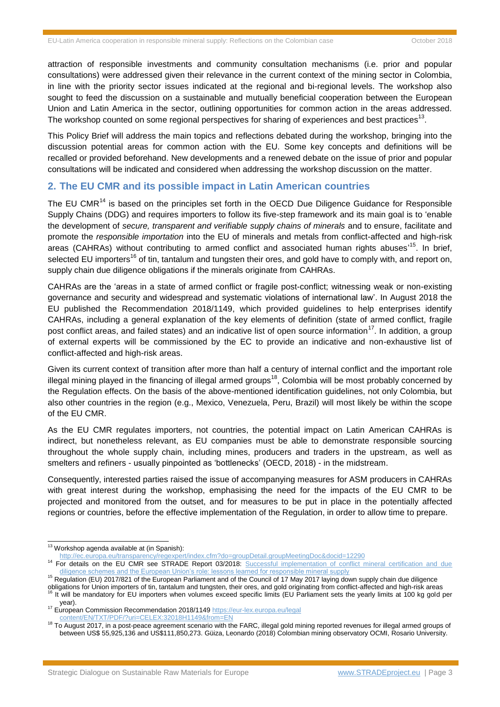attraction of responsible investments and community consultation mechanisms (i.e. prior and popular consultations) were addressed given their relevance in the current context of the mining sector in Colombia, in line with the priority sector issues indicated at the regional and bi-regional levels. The workshop also sought to feed the discussion on a sustainable and mutually beneficial cooperation between the European Union and Latin America in the sector, outlining opportunities for common action in the areas addressed. The workshop counted on some regional perspectives for sharing of experiences and best practices<sup>13</sup>.

This Policy Brief will address the main topics and reflections debated during the workshop, bringing into the discussion potential areas for common action with the EU. Some key concepts and definitions will be recalled or provided beforehand. New developments and a renewed debate on the issue of prior and popular consultations will be indicated and considered when addressing the workshop discussion on the matter.

## **2. The EU CMR and its possible impact in Latin American countries**

The EU CMR<sup>14</sup> is based on the principles set forth in the OECD Due Diligence Guidance for Responsible Supply Chains (DDG) and requires importers to follow its five-step framework and its main goal is to 'enable the development of *secure, transparent and verifiable supply chains of minerals* and to ensure, facilitate and promote the *responsible importation* into the EU of minerals and metals from conflict-affected and high-risk areas (CAHRAs) without contributing to armed conflict and associated human rights abuses<sup>,15</sup>. In brief, selected EU importers<sup>16</sup> of tin, tantalum and tungsten their ores, and gold have to comply with, and report on, supply chain due diligence obligations if the minerals originate from CAHRAs.

CAHRAs are the 'areas in a state of armed conflict or fragile post-conflict; witnessing weak or non-existing governance and security and widespread and systematic violations of international law'. In August 2018 the EU published the Recommendation 2018/1149, which provided guidelines to help enterprises identify CAHRAs, including a general explanation of the key elements of definition (state of armed conflict, fragile post conflict areas, and failed states) and an indicative list of open source information<sup>17</sup>. In addition, a group of external experts will be commissioned by the EC to provide an indicative and non-exhaustive list of conflict-affected and high-risk areas.

Given its current context of transition after more than half a century of internal conflict and the important role illegal mining played in the financing of illegal armed groups<sup>18</sup>, Colombia will be most probably concerned by the Regulation effects. On the basis of the above-mentioned identification guidelines, not only Colombia, but also other countries in the region (e.g., Mexico, Venezuela, Peru, Brazil) will most likely be within the scope of the EU CMR.

As the EU CMR regulates importers, not countries, the potential impact on Latin American CAHRAs is indirect, but nonetheless relevant, as EU companies must be able to demonstrate responsible sourcing throughout the whole supply chain, including mines, producers and traders in the upstream, as well as smelters and refiners - usually pinpointed as 'bottlenecks' (OECD, 2018) - in the midstream.

Consequently, interested parties raised the issue of accompanying measures for ASM producers in CAHRAs with great interest during the workshop, emphasising the need for the impacts of the EU CMR to be projected and monitored from the outset, and for measures to be put in place in the potentially affected regions or countries, before the effective implementation of the Regulation, in order to allow time to prepare.

 $13$  Workshop agenda available at (in Spanish):

<http://ec.europa.eu/transparency/regexpert/index.cfm?do=groupDetail.groupMeetingDoc&docid=12290>

<sup>&</sup>lt;sup>14</sup> For details on the EU CMR see STRADE Report 03/2018: Successful implementation of conflict mineral certification and due diligence schemes and the European Union's role: lessons learned for responsible mineral supply

<sup>15</sup> Regulation (EU) 2017/821 of the European Parliament and of the Council of 17 May 2017 laying down supply chain due diligence

obligations for Union importers of tin, tantalum and tungsten, their ores, and gold originating from conflict-affected and high-risk areas  $16$  It will be mandatory for EU importers when volumes exceed specific limits (EU Parliament sets the yearly limits at 100 kg gold per year).

<sup>&</sup>lt;sup>17</sup> European Commission Recommendation 2018/1149 https://eur-lex.europa.eu/legal [content/EN/TXT/PDF/?uri=CELEX:32018H1149&from=EN](https://eur-lex.europa.eu/legal%20content/EN/TXT/PDF/?uri=CELEX:32018H1149&from=EN)

<sup>&</sup>lt;sup>18</sup> To August 2017, in a post-peace agreement scenario with the FARC, illegal gold mining reported revenues for illegal armed groups of between US\$ 55,925,136 and US\$111,850,273. Güiza, Leonardo (2018) Colombian mining observatory OCMI, Rosario University.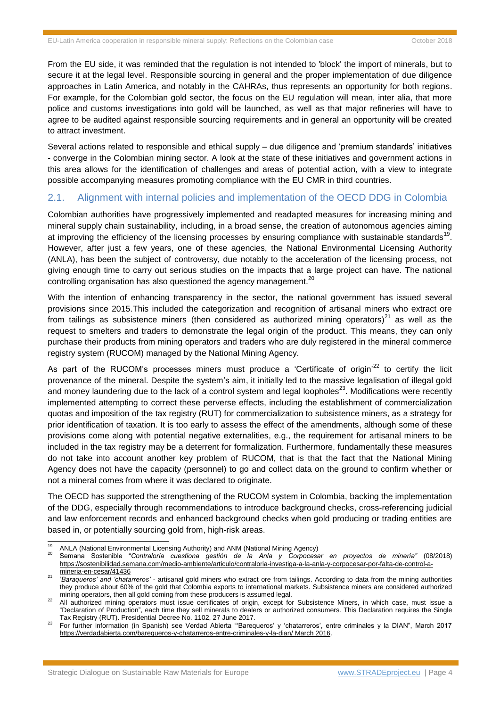From the EU side, it was reminded that the regulation is not intended to 'block' the import of minerals, but to secure it at the legal level. Responsible sourcing in general and the proper implementation of due diligence approaches in Latin America, and notably in the CAHRAs, thus represents an opportunity for both regions. For example, for the Colombian gold sector, the focus on the EU regulation will mean, inter alia, that more police and customs investigations into gold will be launched, as well as that major refineries will have to agree to be audited against responsible sourcing requirements and in general an opportunity will be created to attract investment.

Several actions related to responsible and ethical supply – due diligence and 'premium standards' initiatives - converge in the Colombian mining sector. A look at the state of these initiatives and government actions in this area allows for the identification of challenges and areas of potential action, with a view to integrate possible accompanying measures promoting compliance with the EU CMR in third countries.

#### 2.1. Alignment with internal policies and implementation of the OECD DDG in Colombia

Colombian authorities have progressively implemented and readapted measures for increasing mining and mineral supply chain sustainability, including, in a broad sense, the creation of autonomous agencies aiming at improving the efficiency of the licensing processes by ensuring compliance with sustainable standards<sup>19</sup>. However, after just a few years, one of these agencies, the National Environmental Licensing Authority (ANLA), has been the subject of controversy, due notably to the acceleration of the licensing process, not giving enough time to carry out serious studies on the impacts that a large project can have. The national controlling organisation has also questioned the agency management. $^{20}$ 

With the intention of enhancing transparency in the sector, the national government has issued several provisions since 2015.This included the categorization and recognition of artisanal miners who extract ore from tailings as subsistence miners (then considered as authorized mining operators) $^{21}$  as well as the request to smelters and traders to demonstrate the legal origin of the product. This means, they can only purchase their products from mining operators and traders who are duly registered in the mineral commerce registry system (RUCOM) managed by the National Mining Agency.

As part of the RUCOM's processes miners must produce a 'Certificate of origin<sup>122</sup> to certify the licit provenance of the mineral. Despite the system's aim, it initially led to the massive legalisation of illegal gold and money laundering due to the lack of a control system and legal loopholes<sup>23</sup>. Modifications were recently implemented attempting to correct these perverse effects, including the establishment of commercialization quotas and imposition of the tax registry (RUT) for commercialization to subsistence miners, as a strategy for prior identification of taxation. It is too early to assess the effect of the amendments, although some of these provisions come along with potential negative externalities, e.g., the requirement for artisanal miners to be included in the tax registry may be a deterrent for formalization. Furthermore, fundamentally these measures do not take into account another key problem of RUCOM, that is that the fact that the National Mining Agency does not have the capacity (personnel) to go and collect data on the ground to confirm whether or not a mineral comes from where it was declared to originate.

The OECD has supported the strengthening of the RUCOM system in Colombia, backing the implementation of the DDG, especially through recommendations to introduce background checks, cross-referencing judicial and law enforcement records and enhanced background checks when gold producing or trading entities are based in, or potentially sourcing gold from, high-risk areas.

 $\overline{19}$ <sup>19</sup> ANLA (National Environmental Licensing Authority) and ANM (National Mining Agency)

<sup>20</sup> Semana Sostenible "*Contraloría cuestiona gestión de la Anla y Corpocesar en proyectos de minería"* (08/2018) https://sostenibilidad.semana.com/medio-ambiente/articulo/contraloria-investiga-a-la-anla-y-corpocesar-por-falta-de-control-amineria-en-cesar/41436

<sup>21</sup> '*Baraqueros' and 'chatarreros'* - artisanal gold miners who extract ore from tailings. According to data from the mining authorities they produce about 60% of the gold that Colombia exports to international markets. Subsistence miners are considered authorized mining operators, then all gold coming from these producers is assumed legal.

<sup>&</sup>lt;sup>22</sup> All authorized mining operators must issue certificates of origin, except for Subsistence Miners, in which case, must issue a "Declaration of Production", each time they sell minerals to dealers or authorized consumers. This Declaration requires the Single Tax Registry (RUT). Presidential Decree No. 1102, 27 June 2017.

<sup>23</sup> For further information (in Spanish) see Verdad Abierta "'Barequeros' y 'chatarreros', entre criminales y la DIAN", March 2017 <https://verdadabierta.com/barequeros-y-chatarreros-entre-criminales-y-la-dian/> March 2016.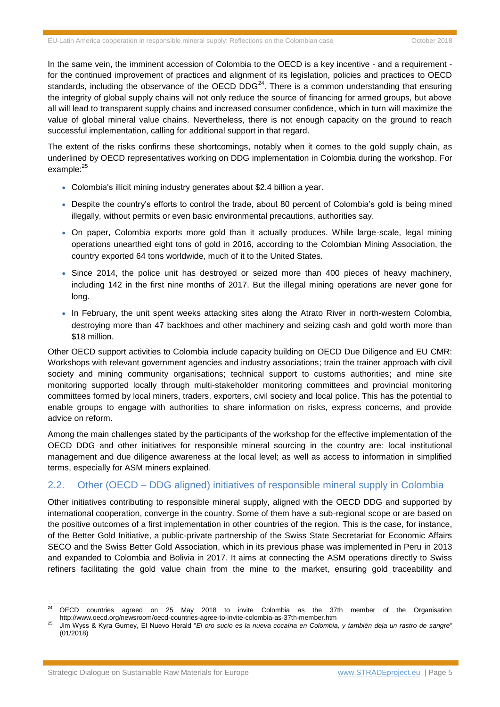In the same vein, the imminent accession of Colombia to the OECD is a key incentive - and a requirement for the continued improvement of practices and alignment of its legislation, policies and practices to OECD standards, including the observance of the OECD DDG<sup>24</sup>. There is a common understanding that ensuring the integrity of global supply chains will not only reduce the source of financing for armed groups, but above all will lead to transparent supply chains and increased consumer confidence, which in turn will maximize the value of global mineral value chains. Nevertheless, there is not enough capacity on the ground to reach successful implementation, calling for additional support in that regard.

The extent of the risks confirms these shortcomings, notably when it comes to the gold supply chain, as underlined by OECD representatives working on DDG implementation in Colombia during the workshop. For example:<sup>25</sup>

- Colombia's illicit mining industry generates about \$2.4 billion a year.
- Despite the country's efforts to control the trade, about 80 percent of Colombia's gold is being mined illegally, without permits or even basic environmental precautions, authorities say.
- On paper, Colombia exports more gold than it actually produces. While large-scale, legal mining operations unearthed eight tons of gold in 2016, according to the Colombian Mining Association, the country exported 64 tons worldwide, much of it to the United States.
- Since 2014, the police unit has destroved or seized more than 400 pieces of heavy machinery, including 142 in the first nine months of 2017. But the illegal mining operations are never gone for long.
- In February, the unit spent weeks attacking sites along the Atrato River in north-western Colombia, destroying more than 47 backhoes and other machinery and seizing cash and gold worth more than \$18 million.

Other OECD support activities to Colombia include capacity building on OECD Due Diligence and EU CMR: Workshops with relevant government agencies and industry associations; train the trainer approach with civil society and mining community organisations; technical support to customs authorities; and mine site monitoring supported locally through multi-stakeholder monitoring committees and provincial monitoring committees formed by local miners, traders, exporters, civil society and local police. This has the potential to enable groups to engage with authorities to share information on risks, express concerns, and provide advice on reform.

Among the main challenges stated by the participants of the workshop for the effective implementation of the OECD DDG and other initiatives for responsible mineral sourcing in the country are: local institutional management and due diligence awareness at the local level; as well as access to information in simplified terms, especially for ASM miners explained.

## 2.2. Other (OECD – DDG aligned) initiatives of responsible mineral supply in Colombia

Other initiatives contributing to responsible mineral supply, aligned with the OECD DDG and supported by international cooperation, converge in the country. Some of them have a sub-regional scope or are based on the positive outcomes of a first implementation in other countries of the region. This is the case, for instance, of the Better Gold Initiative, a public-private partnership of the Swiss State Secretariat for Economic Affairs SECO and the Swiss Better Gold Association, which in its previous phase was implemented in Peru in 2013 and expanded to Colombia and Bolivia in 2017. It aims at connecting the ASM operations directly to Swiss refiners facilitating the gold value chain from the mine to the market, ensuring gold traceability and

<sup>24</sup> [OECD countries agreed on 25 May 2018 to invite Colombia as the 37th member of the Organisation](http://www.oecd.org/newsroom/oecd-countries-agree-to-invite-colombia-as-37th-member.htm) <http://www.oecd.org/newsroom/oecd-countries-agree-to-invite-colombia-as-37th-member.htm>

<sup>25</sup> Jim Wyss & Kyra Gurney, El Nuevo Herald "*El oro sucio es la nueva cocaína en Colombia, y también deja un rastro de sangre*" (01/2018)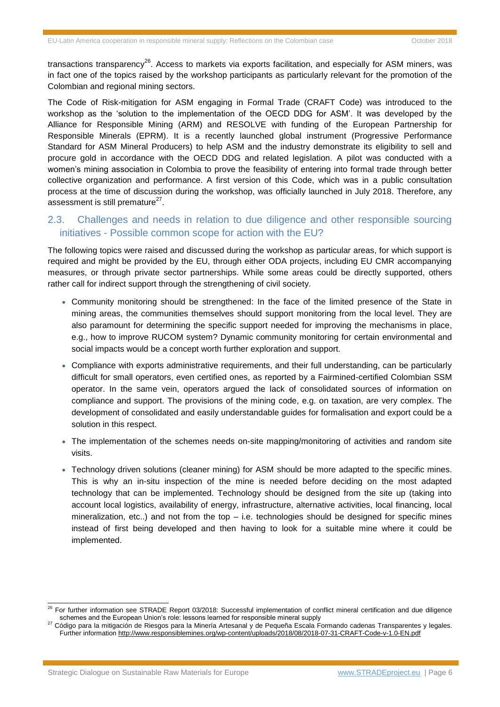transactions transparency<sup>26</sup>. Access to markets via exports facilitation, and especially for ASM miners, was in fact one of the topics raised by the workshop participants as particularly relevant for the promotion of the Colombian and regional mining sectors.

The Code of Risk-mitigation for ASM engaging in Formal Trade (CRAFT Code) was introduced to the workshop as the 'solution to the implementation of the OECD DDG for ASM'. It was developed by the Alliance for Responsible Mining (ARM) and RESOLVE with funding of the European Partnership for Responsible Minerals (EPRM). It is a recently launched global instrument (Progressive Performance Standard for ASM Mineral Producers) to help ASM and the industry demonstrate its eligibility to sell and procure gold in accordance with the OECD DDG and related legislation. A pilot was conducted with a women's mining association in Colombia to prove the feasibility of entering into formal trade through better collective organization and performance. A first version of this Code, which was in a public consultation process at the time of discussion during the workshop, was officially launched in July 2018. Therefore, any assessment is still premature $^{27}$ .

## 2.3. Challenges and needs in relation to due diligence and other responsible sourcing initiatives - Possible common scope for action with the EU?

The following topics were raised and discussed during the workshop as particular areas, for which support is required and might be provided by the EU, through either ODA projects, including EU CMR accompanying measures, or through private sector partnerships. While some areas could be directly supported, others rather call for indirect support through the strengthening of civil society.

- Community monitoring should be strengthened: In the face of the limited presence of the State in mining areas, the communities themselves should support monitoring from the local level. They are also paramount for determining the specific support needed for improving the mechanisms in place, e.g., how to improve RUCOM system? Dynamic community monitoring for certain environmental and social impacts would be a concept worth further exploration and support.
- Compliance with exports administrative requirements, and their full understanding, can be particularly difficult for small operators, even certified ones, as reported by a Fairmined-certified Colombian SSM operator. In the same vein, operators argued the lack of consolidated sources of information on compliance and support. The provisions of the mining code, e.g. on taxation, are very complex. The development of consolidated and easily understandable guides for formalisation and export could be a solution in this respect.
- The implementation of the schemes needs on-site mapping/monitoring of activities and random site visits.
- Technology driven solutions (cleaner mining) for ASM should be more adapted to the specific mines. This is why an in-situ inspection of the mine is needed before deciding on the most adapted technology that can be implemented. Technology should be designed from the site up (taking into account local logistics, availability of energy, infrastructure, alternative activities, local financing, local mineralization, etc..) and not from the top  $-$  i.e. technologies should be designed for specific mines instead of first being developed and then having to look for a suitable mine where it could be implemented.

<sup>&</sup>lt;sup>26</sup> For further information see STRADE Report 03/2018: Successful implementation of conflict mineral certification and due diligence [schemes and the European Union's role: lessons learned for responsible mineral supply](http://stradeproject.eu/fileadmin/user_upload/pdf/STRADE_Report_D4.19_Due_Diligence_Certification.pdf)

<sup>27</sup> Código para la mitigación de Riesgos para la Minería Artesanal y de Pequeña Escala Formando cadenas Transparentes y legales. Further information<http://www.responsiblemines.org/wp-content/uploads/2018/08/2018-07-31-CRAFT-Code-v-1.0-EN.pdf>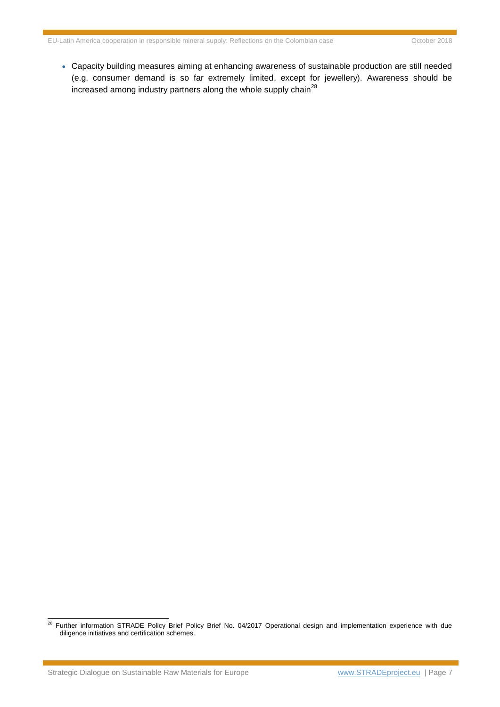Capacity building measures aiming at enhancing awareness of sustainable production are still needed (e.g. consumer demand is so far extremely limited, except for jewellery). Awareness should be increased among industry partners along the whole supply chain<sup>28</sup>

Strategic Dialogue on Sustainable Raw Materials for Europe [www.STRADEproject.eu](http://www.stradeproject.eu/) | Page 7

<sup>&</sup>lt;sup>28</sup> Further information STRADE Policy Brief Policy Brief No. 04/2017 Operational design and implementation experience with due diligence initiatives and certification schemes.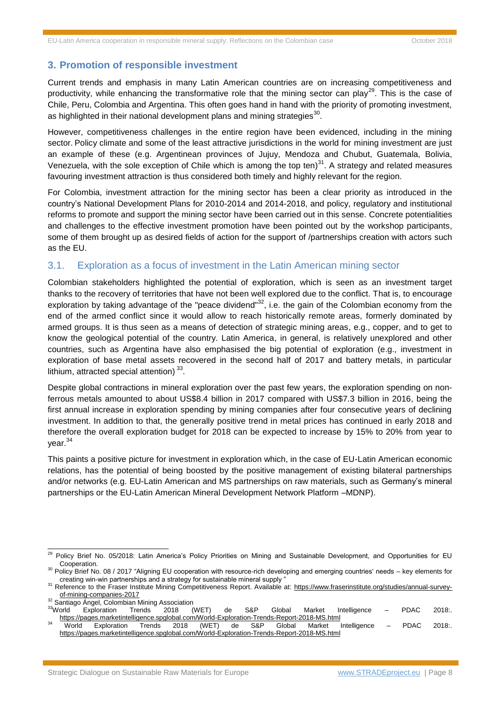### **3. Promotion of responsible investment**

Current trends and emphasis in many Latin American countries are on increasing competitiveness and productivity, while enhancing the transformative role that the mining sector can play<sup>29</sup>. This is the case of Chile, Peru, Colombia and Argentina. This often goes hand in hand with the priority of promoting investment, as highlighted in their national development plans and mining strategies $^{30}$ .

However, competitiveness challenges in the entire region have been evidenced, including in the mining sector. Policy climate and some of the least attractive jurisdictions in the world for mining investment are just an example of these (e.g. Argentinean provinces of Jujuy, Mendoza and Chubut, Guatemala, Bolivia, Venezuela, with the sole exception of Chile which is among the top ten) $^{31}$ . A strategy and related measures favouring investment attraction is thus considered both timely and highly relevant for the region.

For Colombia, investment attraction for the mining sector has been a clear priority as introduced in the country's National Development Plans for 2010-2014 and 2014-2018, and policy, regulatory and institutional reforms to promote and support the mining sector have been carried out in this sense. Concrete potentialities and challenges to the effective investment promotion have been pointed out by the workshop participants, some of them brought up as desired fields of action for the support of /partnerships creation with actors such as the EU.

#### 3.1. Exploration as a focus of investment in the Latin American mining sector

Colombian stakeholders highlighted the potential of exploration, which is seen as an investment target thanks to the recovery of territories that have not been well explored due to the conflict. That is, to encourage exploration by taking advantage of the "peace dividend" $32$ , i.e. the gain of the Colombian economy from the end of the armed conflict since it would allow to reach historically remote areas, formerly dominated by armed groups. It is thus seen as a means of detection of strategic mining areas, e.g., copper, and to get to know the geological potential of the country. Latin America, in general, is relatively unexplored and other countries, such as Argentina have also emphasised the big potential of exploration (e.g., investment in exploration of base metal assets recovered in the second half of 2017 and battery metals, in particular lithium, attracted special attention)<sup>33</sup>.

Despite global contractions in mineral exploration over the past few years, the exploration spending on nonferrous metals amounted to about US\$8.4 billion in 2017 compared with US\$7.3 billion in 2016, being the first annual increase in exploration spending by mining companies after four consecutive years of declining investment. In addition to that, the generally positive trend in metal prices has continued in early 2018 and therefore the overall exploration budget for 2018 can be expected to increase by 15% to 20% from year to year.<sup>34</sup>

This paints a positive picture for investment in exploration which, in the case of EU-Latin American economic relations, has the potential of being boosted by the positive management of existing bilateral partnerships and/or networks (e.g. EU-Latin American and MS partnerships on raw materials, such as Germany's mineral partnerships or the EU-Latin American Mineral Development Network Platform –MDNP).

<sup>32</sup> Santiago Ángel, Colombian Mining Association

<sup>33</sup>World Exploration Trends 2018 (WET) de S&P Global Market Intelligence – PDAC 2018:. <https://pages.marketintelligence.spglobal.com/World-Exploration-Trends-Report-2018-MS.html>

<sup>29</sup> Policy Brief No. 05/2018: [Latin America's Policy Priorities on Mining and Sustainable Development, and Opportunities for EU](http://stradeproject.eu/fileadmin/user_upload/pdf/STRADE_PB_LATAM_policy.pdf)  [Cooperation.](http://stradeproject.eu/fileadmin/user_upload/pdf/STRADE_PB_LATAM_policy.pdf)

<sup>&</sup>lt;sup>30</sup> Policy Brief No. 08 / 2017 "Aligning EU cooperation with resource-rich developing and emerging countries' needs – key elements for creating win-win partnerships and a strategy for sustainable mineral supply "

<sup>31</sup> Reference to the Fraser Institute Mining Competitiveness Report. Available at: [https://www.fraserinstitute.org/studies/annual-survey](https://www.fraserinstitute.org/studies/annual-survey-of-mining-companies-2017)[of-mining-companies-2017](https://www.fraserinstitute.org/studies/annual-survey-of-mining-companies-2017)

<sup>34</sup> World Exploration Trends 2018 (WET) de S&P Global Market Intelligence – PDAC 2018:. <https://pages.marketintelligence.spglobal.com/World-Exploration-Trends-Report-2018-MS.html>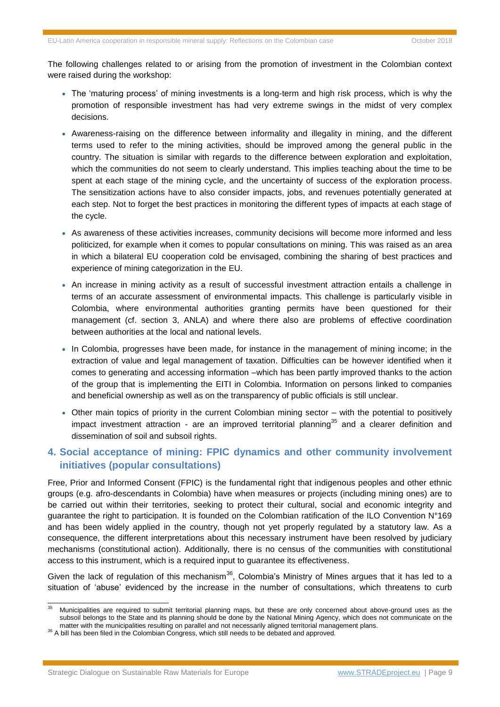The following challenges related to or arising from the promotion of investment in the Colombian context were raised during the workshop:

- The 'maturing process' of mining investments is a long-term and high risk process, which is why the promotion of responsible investment has had very extreme swings in the midst of very complex decisions.
- Awareness-raising on the difference between informality and illegality in mining, and the different terms used to refer to the mining activities, should be improved among the general public in the country. The situation is similar with regards to the difference between exploration and exploitation, which the communities do not seem to clearly understand. This implies teaching about the time to be spent at each stage of the mining cycle, and the uncertainty of success of the exploration process. The sensitization actions have to also consider impacts, jobs, and revenues potentially generated at each step. Not to forget the best practices in monitoring the different types of impacts at each stage of the cycle.
- As awareness of these activities increases, community decisions will become more informed and less politicized, for example when it comes to popular consultations on mining. This was raised as an area in which a bilateral EU cooperation cold be envisaged, combining the sharing of best practices and experience of mining categorization in the EU.
- An increase in mining activity as a result of successful investment attraction entails a challenge in terms of an accurate assessment of environmental impacts. This challenge is particularly visible in Colombia, where environmental authorities granting permits have been questioned for their management (cf. section 3, ANLA) and where there also are problems of effective coordination between authorities at the local and national levels.
- In Colombia, progresses have been made, for instance in the management of mining income; in the extraction of value and legal management of taxation. Difficulties can be however identified when it comes to generating and accessing information –which has been partly improved thanks to the action of the group that is implementing the EITI in Colombia. Information on persons linked to companies and beneficial ownership as well as on the transparency of public officials is still unclear.
- Other main topics of priority in the current Colombian mining sector with the potential to positively impact investment attraction - are an improved territorial planning<sup>35</sup> and a clearer definition and dissemination of soil and subsoil rights.

## **4. Social acceptance of mining: FPIC dynamics and other community involvement initiatives (popular consultations)**

Free, Prior and Informed Consent (FPIC) is the fundamental right that indigenous peoples and other ethnic groups (e.g. afro-descendants in Colombia) have when measures or projects (including mining ones) are to be carried out within their territories, seeking to protect their cultural, social and economic integrity and guarantee the right to participation. It is founded on the Colombian ratification of the ILO Convention N°169 and has been widely applied in the country, though not yet properly regulated by a statutory law. As a consequence, the different interpretations about this necessary instrument have been resolved by judiciary mechanisms (constitutional action). Additionally, there is no census of the communities with constitutional access to this instrument, which is a required input to guarantee its effectiveness.

Given the lack of regulation of this mechanism<sup>36</sup>, Colombia's Ministry of Mines argues that it has led to a situation of 'abuse' evidenced by the increase in the number of consultations, which threatens to curb

<sup>35</sup> Municipalities are required to submit territorial planning maps, but these are only concerned about above-ground uses as the subsoil belongs to the State and its planning should be done by the National Mining Agency, which does not communicate on the matter with the municipalities resulting on parallel and not necessarily aligned territorial management plans.

<sup>36</sup> A bill has been filed in the Colombian Congress, which still needs to be debated and approved.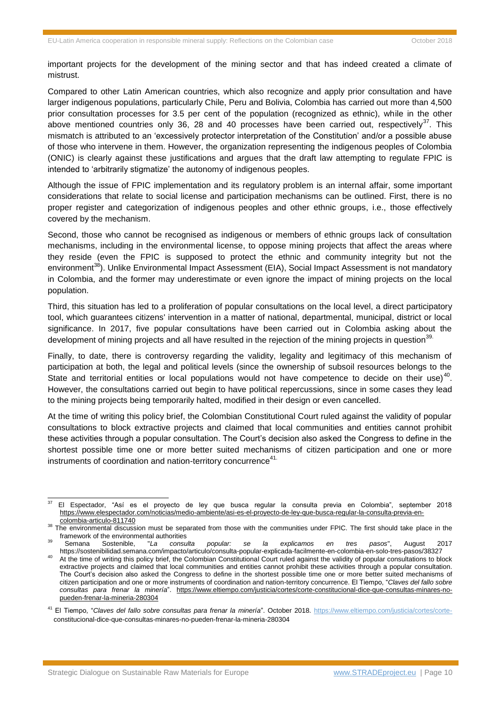important projects for the development of the mining sector and that has indeed created a climate of mistrust.

Compared to other Latin American countries, which also recognize and apply prior consultation and have larger indigenous populations, particularly Chile, Peru and Bolivia, Colombia has carried out more than 4,500 prior consultation processes for 3.5 per cent of the population (recognized as ethnic), while in the other above mentioned countries only 36, 28 and 40 processes have been carried out, respectively<sup>37</sup>. This mismatch is attributed to an 'excessively protector interpretation of the Constitution' and/or a possible abuse of those who intervene in them. However, the organization representing the indigenous peoples of Colombia (ONIC) is clearly against these justifications and argues that the draft law attempting to regulate FPIC is intended to 'arbitrarily stigmatize' the autonomy of indigenous peoples.

Although the issue of FPIC implementation and its regulatory problem is an internal affair, some important considerations that relate to social license and participation mechanisms can be outlined. First, there is no proper register and categorization of indigenous peoples and other ethnic groups, i.e., those effectively covered by the mechanism.

Second, those who cannot be recognised as indigenous or members of ethnic groups lack of consultation mechanisms, including in the environmental license, to oppose mining projects that affect the areas where they reside (even the FPIC is supposed to protect the ethnic and community integrity but not the environment<sup>38</sup>). Unlike Environmental Impact Assessment (EIA), Social Impact Assessment is not mandatory in Colombia, and the former may underestimate or even ignore the impact of mining projects on the local population.

Third, this situation has led to a proliferation of popular consultations on the local level, a direct participatory tool, which guarantees citizens' intervention in a matter of national, departmental, municipal, district or local significance. In 2017, five popular consultations have been carried out in Colombia asking about the development of mining projects and all have resulted in the rejection of the mining projects in question<sup>39.</sup>

Finally, to date, there is controversy regarding the validity, legality and legitimacy of this mechanism of participation at both, the legal and political levels (since the ownership of subsoil resources belongs to the State and territorial entities or local populations would not have competence to decide on their use)<sup>40</sup>. However, the consultations carried out begin to have political repercussions, since in some cases they lead to the mining projects being temporarily halted, modified in their design or even cancelled.

At the time of writing this policy brief, the Colombian Constitutional Court ruled against the validity of popular consultations to block extractive projects and claimed that local communities and entities cannot prohibit these activities through a popular consultation. The Court's decision also asked the Congress to define in the shortest possible time one or more better suited mechanisms of citizen participation and one or more instruments of coordination and nation-territory concurrence<sup>41.</sup>

<sup>37</sup> <sup>37</sup> El Espectador, "Así es el proyecto de ley que busca regular la consulta previa en Colombia", september 2018 [https://www.elespectador.com/noticias/medio-ambiente/asi-es-el-proyecto-de-ley-que-busca-regular-la-consulta-previa-en](https://www.elespectador.com/noticias/medio-ambiente/asi-es-el-proyecto-de-ley-que-busca-regular-la-consulta-previa-en-colombia-articulo-811740)[colombia-articulo-811740](https://www.elespectador.com/noticias/medio-ambiente/asi-es-el-proyecto-de-ley-que-busca-regular-la-consulta-previa-en-colombia-articulo-811740)

<sup>38</sup> The environmental discussion must be separated from those with the communities under FPIC. The first should take place in the framework of the environmental authorities

<sup>39</sup> Semana Sostenible, "*La consulta popular: se la explicamos en tres pasos*", August 2017 https://sostenibilidad.semana.com/impacto/articulo/consulta-popular-explicada-facilmente-en-colombia-en-solo-tres-pasos/38327

<sup>&</sup>lt;sup>40</sup> At the time of writing this policy brief, the Colombian Constitutional Court ruled against the validity of popular consultations to block extractive projects and claimed that local communities and entities cannot prohibit these activities through a popular consultation. The Court's decision also asked the Congress to define in the shortest possible time one or more better suited mechanisms of citizen participation and one or more instruments of coordination and nation-territory concurrence. El Tiempo, "*Claves del fallo sobre consultas para frenar la minería*". [https://www.eltiempo.com/justicia/cortes/corte-constitucional-dice-que-consultas-minares-no](https://www.eltiempo.com/justicia/cortes/corte-constitucional-dice-que-consultas-minares-no-pueden-frenar-la-mineria-280304)[pueden-frenar-la-mineria-280304](https://www.eltiempo.com/justicia/cortes/corte-constitucional-dice-que-consultas-minares-no-pueden-frenar-la-mineria-280304)

<sup>41</sup> El Tiempo, "*Claves del fallo sobre consultas para frenar la minería*". October 2018. [https://www.eltiempo.com/justicia/cortes/corte](https://www.eltiempo.com/justicia/cortes/corte-)constitucional-dice-que-consultas-minares-no-pueden-frenar-la-mineria-280304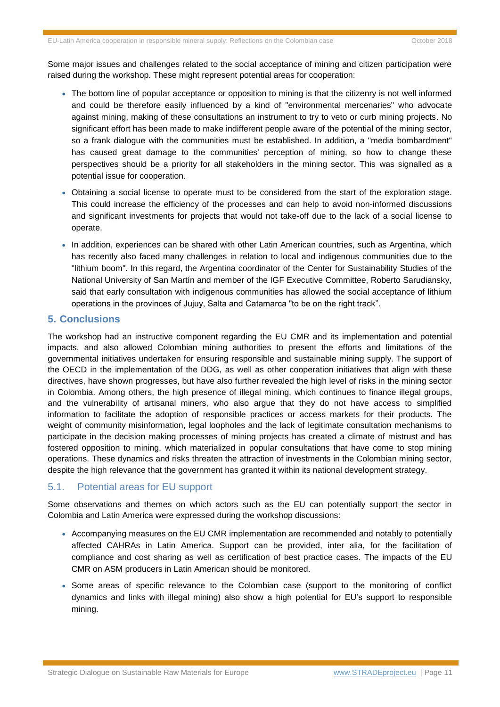Some major issues and challenges related to the social acceptance of mining and citizen participation were raised during the workshop. These might represent potential areas for cooperation:

- The bottom line of popular acceptance or opposition to mining is that the citizenry is not well informed and could be therefore easily influenced by a kind of "environmental mercenaries" who advocate against mining, making of these consultations an instrument to try to veto or curb mining projects. No significant effort has been made to make indifferent people aware of the potential of the mining sector, so a frank dialogue with the communities must be established. In addition, a "media bombardment" has caused great damage to the communities' perception of mining, so how to change these perspectives should be a priority for all stakeholders in the mining sector. This was signalled as a potential issue for cooperation.
- Obtaining a social license to operate must to be considered from the start of the exploration stage. This could increase the efficiency of the processes and can help to avoid non-informed discussions and significant investments for projects that would not take-off due to the lack of a social license to operate.
- In addition, experiences can be shared with other Latin American countries, such as Argentina, which has recently also faced many challenges in relation to local and indigenous communities due to the "lithium boom". In this regard, the Argentina coordinator of the Center for Sustainability Studies of the National University of San Martín and member of the IGF Executive Committee, Roberto Sarudiansky, said that early consultation with indigenous communities has allowed the social acceptance of lithium operations in the provinces of Jujuy, Salta and Catamarca "to be on the right track".

#### **5. Conclusions**

The workshop had an instructive component regarding the EU CMR and its implementation and potential impacts, and also allowed Colombian mining authorities to present the efforts and limitations of the governmental initiatives undertaken for ensuring responsible and sustainable mining supply. The support of the OECD in the implementation of the DDG, as well as other cooperation initiatives that align with these directives, have shown progresses, but have also further revealed the high level of risks in the mining sector in Colombia. Among others, the high presence of illegal mining, which continues to finance illegal groups, and the vulnerability of artisanal miners, who also argue that they do not have access to simplified information to facilitate the adoption of responsible practices or access markets for their products. The weight of community misinformation, legal loopholes and the lack of legitimate consultation mechanisms to participate in the decision making processes of mining projects has created a climate of mistrust and has fostered opposition to mining, which materialized in popular consultations that have come to stop mining operations. These dynamics and risks threaten the attraction of investments in the Colombian mining sector, despite the high relevance that the government has granted it within its national development strategy.

#### 5.1. Potential areas for EU support

Some observations and themes on which actors such as the EU can potentially support the sector in Colombia and Latin America were expressed during the workshop discussions:

- Accompanying measures on the EU CMR implementation are recommended and notably to potentially affected CAHRAs in Latin America. Support can be provided, inter alia, for the facilitation of compliance and cost sharing as well as certification of best practice cases. The impacts of the EU CMR on ASM producers in Latin American should be monitored.
- Some areas of specific relevance to the Colombian case (support to the monitoring of conflict dynamics and links with illegal mining) also show a high potential for EU's support to responsible mining.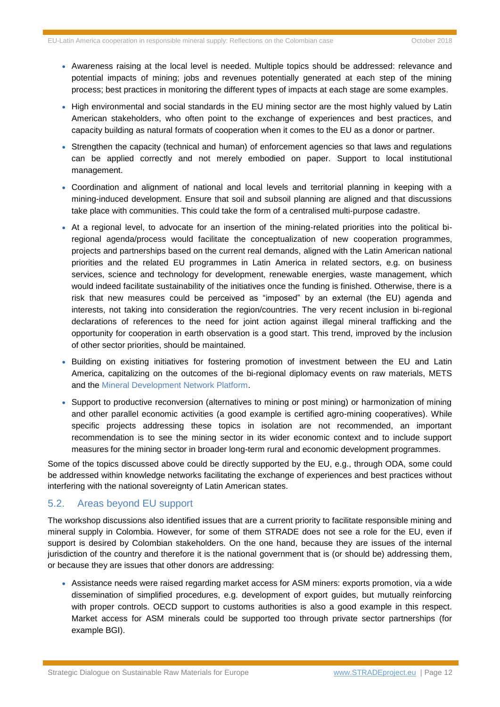- Awareness raising at the local level is needed. Multiple topics should be addressed: relevance and potential impacts of mining; jobs and revenues potentially generated at each step of the mining process; best practices in monitoring the different types of impacts at each stage are some examples.
- High environmental and social standards in the EU mining sector are the most highly valued by Latin American stakeholders, who often point to the exchange of experiences and best practices, and capacity building as natural formats of cooperation when it comes to the EU as a donor or partner.
- Strengthen the capacity (technical and human) of enforcement agencies so that laws and regulations can be applied correctly and not merely embodied on paper. Support to local institutional management.
- Coordination and alignment of national and local levels and territorial planning in keeping with a mining-induced development. Ensure that soil and subsoil planning are aligned and that discussions take place with communities. This could take the form of a centralised multi-purpose cadastre.
- At a regional level, to advocate for an insertion of the mining-related priorities into the political biregional agenda/process would facilitate the conceptualization of new cooperation programmes, projects and partnerships based on the current real demands, aligned with the Latin American national priorities and the related EU programmes in Latin America in related sectors, e.g. on business services, science and technology for development, renewable energies, waste management, which would indeed facilitate sustainability of the initiatives once the funding is finished. Otherwise, there is a risk that new measures could be perceived as "imposed" by an external (the EU) agenda and interests, not taking into consideration the region/countries. The very recent inclusion in bi-regional declarations of references to the need for joint action against illegal mineral trafficking and the opportunity for cooperation in earth observation is a good start. This trend, improved by the inclusion of other sector priorities, should be maintained.
- Building on existing initiatives for fostering promotion of investment between the EU and Latin America, capitalizing on the outcomes of the bi-regional diplomacy events on raw materials, METS and the [Mineral Development Network Platform.](https://www.mineralplatform.eu/)
- Support to productive reconversion (alternatives to mining or post mining) or harmonization of mining and other parallel economic activities (a good example is certified agro-mining cooperatives). While specific projects addressing these topics in isolation are not recommended, an important recommendation is to see the mining sector in its wider economic context and to include support measures for the mining sector in broader long-term rural and economic development programmes.

Some of the topics discussed above could be directly supported by the EU, e.g., through ODA, some could be addressed within knowledge networks facilitating the exchange of experiences and best practices without interfering with the national sovereignty of Latin American states.

#### 5.2. Areas beyond EU support

The workshop discussions also identified issues that are a current priority to facilitate responsible mining and mineral supply in Colombia. However, for some of them STRADE does not see a role for the EU, even if support is desired by Colombian stakeholders. On the one hand, because they are issues of the internal jurisdiction of the country and therefore it is the national government that is (or should be) addressing them, or because they are issues that other donors are addressing:

 Assistance needs were raised regarding market access for ASM miners: exports promotion, via a wide dissemination of simplified procedures, e.g. development of export guides, but mutually reinforcing with proper controls. OECD support to customs authorities is also a good example in this respect. Market access for ASM minerals could be supported too through private sector partnerships (for example BGI).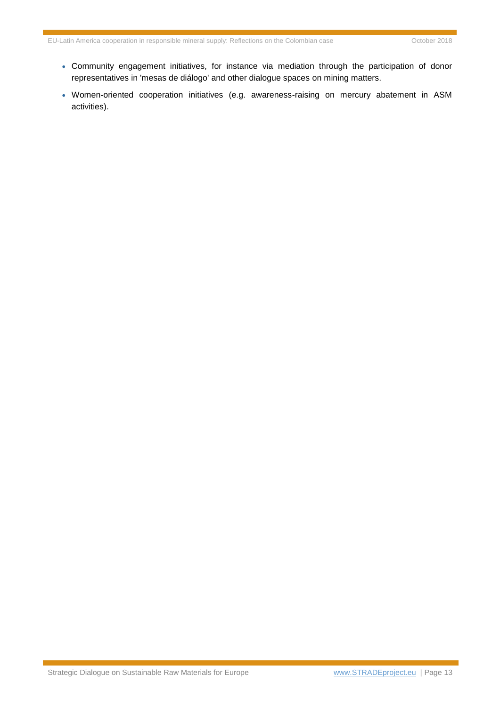- Community engagement initiatives, for instance via mediation through the participation of donor representatives in 'mesas de diálogo' and other dialogue spaces on mining matters.
- Women-oriented cooperation initiatives (e.g. awareness-raising on mercury abatement in ASM activities).